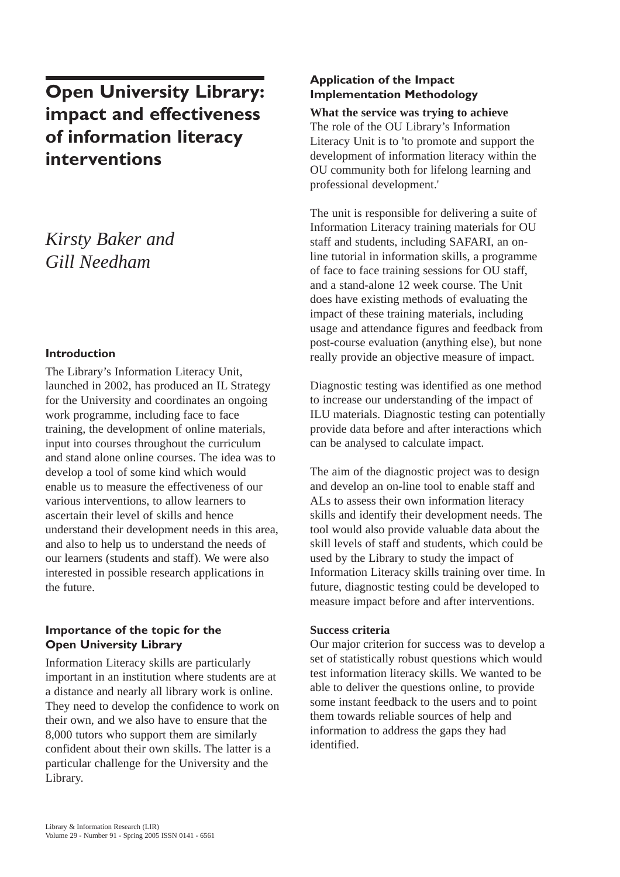# **Open University Library: impact and effectiveness of information literacy interventions**

# *Kirsty Baker and Gill Needham*

### **Introduction**

The Library's Information Literacy Unit, launched in 2002, has produced an IL Strategy for the University and coordinates an ongoing work programme, including face to face training, the development of online materials, input into courses throughout the curriculum and stand alone online courses. The idea was to develop a tool of some kind which would enable us to measure the effectiveness of our various interventions, to allow learners to ascertain their level of skills and hence understand their development needs in this area, and also to help us to understand the needs of our learners (students and staff). We were also interested in possible research applications in the future.

## **Importance of the topic for the Open University Library**

Information Literacy skills are particularly important in an institution where students are at a distance and nearly all library work is online. They need to develop the confidence to work on their own, and we also have to ensure that the 8,000 tutors who support them are similarly confident about their own skills. The latter is a particular challenge for the University and the Library.

## **Application of the Impact Implementation Methodology**

**What the service was trying to achieve** 

The role of the OU Library's Information Literacy Unit is to 'to promote and support the development of information literacy within the OU community both for lifelong learning and professional development.'

The unit is responsible for delivering a suite of Information Literacy training materials for OU staff and students, including SAFARI, an online tutorial in information skills, a programme of face to face training sessions for OU staff, and a stand-alone 12 week course. The Unit does have existing methods of evaluating the impact of these training materials, including usage and attendance figures and feedback from post-course evaluation (anything else), but none really provide an objective measure of impact.

Diagnostic testing was identified as one method to increase our understanding of the impact of ILU materials. Diagnostic testing can potentially provide data before and after interactions which can be analysed to calculate impact.

The aim of the diagnostic project was to design and develop an on-line tool to enable staff and ALs to assess their own information literacy skills and identify their development needs. The tool would also provide valuable data about the skill levels of staff and students, which could be used by the Library to study the impact of Information Literacy skills training over time. In future, diagnostic testing could be developed to measure impact before and after interventions.

#### **Success criteria**

Our major criterion for success was to develop a set of statistically robust questions which would test information literacy skills. We wanted to be able to deliver the questions online, to provide some instant feedback to the users and to point them towards reliable sources of help and information to address the gaps they had identified.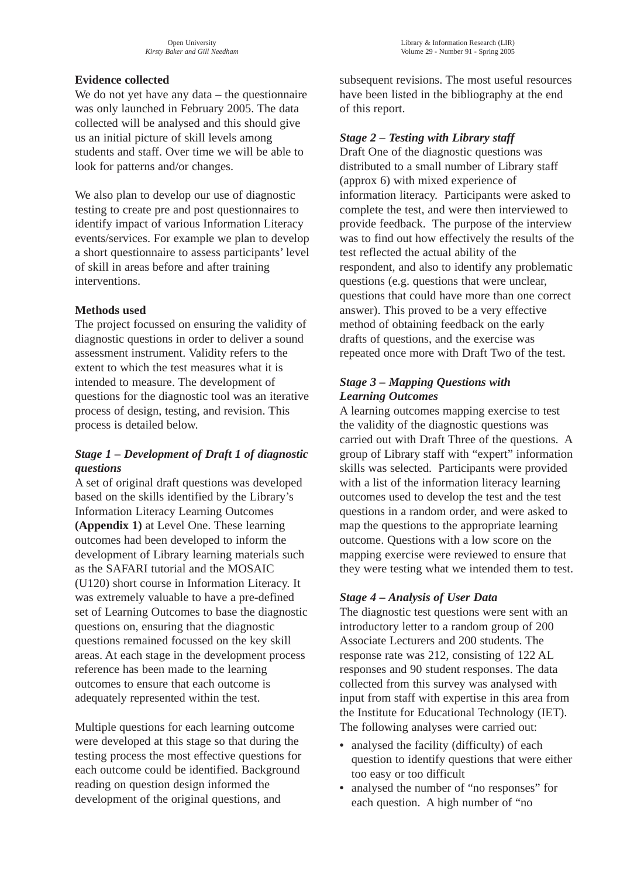# **Evidence collected**

We do not yet have any data – the questionnaire was only launched in February 2005. The data collected will be analysed and this should give us an initial picture of skill levels among students and staff. Over time we will be able to look for patterns and/or changes.

We also plan to develop our use of diagnostic testing to create pre and post questionnaires to identify impact of various Information Literacy events/services. For example we plan to develop a short questionnaire to assess participants' level of skill in areas before and after training interventions.

## **Methods used**

The project focussed on ensuring the validity of diagnostic questions in order to deliver a sound assessment instrument. Validity refers to the extent to which the test measures what it is intended to measure. The development of questions for the diagnostic tool was an iterative process of design, testing, and revision. This process is detailed below.

# *Stage 1 – Development of Draft 1 of diagnostic questions*

A set of original draft questions was developed based on the skills identified by the Library's Information Literacy Learning Outcomes **(Appendix 1)** at Level One. These learning outcomes had been developed to inform the development of Library learning materials such as the SAFARI tutorial and the MOSAIC (U120) short course in Information Literacy. It was extremely valuable to have a pre-defined set of Learning Outcomes to base the diagnostic questions on, ensuring that the diagnostic questions remained focussed on the key skill areas. At each stage in the development process reference has been made to the learning outcomes to ensure that each outcome is adequately represented within the test.

Multiple questions for each learning outcome were developed at this stage so that during the testing process the most effective questions for each outcome could be identified. Background reading on question design informed the development of the original questions, and

## *Stage 2 – Testing with Library staff*

Draft One of the diagnostic questions was distributed to a small number of Library staff (approx 6) with mixed experience of information literacy. Participants were asked to complete the test, and were then interviewed to provide feedback. The purpose of the interview was to find out how effectively the results of the test reflected the actual ability of the respondent, and also to identify any problematic questions (e.g. questions that were unclear, questions that could have more than one correct answer). This proved to be a very effective method of obtaining feedback on the early drafts of questions, and the exercise was repeated once more with Draft Two of the test.

# *Stage 3 – Mapping Questions with Learning Outcomes*

A learning outcomes mapping exercise to test the validity of the diagnostic questions was carried out with Draft Three of the questions. A group of Library staff with "expert" information skills was selected. Participants were provided with a list of the information literacy learning outcomes used to develop the test and the test questions in a random order, and were asked to map the questions to the appropriate learning outcome. Questions with a low score on the mapping exercise were reviewed to ensure that they were testing what we intended them to test.

## *Stage 4 – Analysis of User Data*

The diagnostic test questions were sent with an introductory letter to a random group of 200 Associate Lecturers and 200 students. The response rate was 212, consisting of 122 AL responses and 90 student responses. The data collected from this survey was analysed with input from staff with expertise in this area from the Institute for Educational Technology (IET). The following analyses were carried out:

- analysed the facility (difficulty) of each question to identify questions that were either too easy or too difficult
- analysed the number of "no responses" for each question. A high number of "no